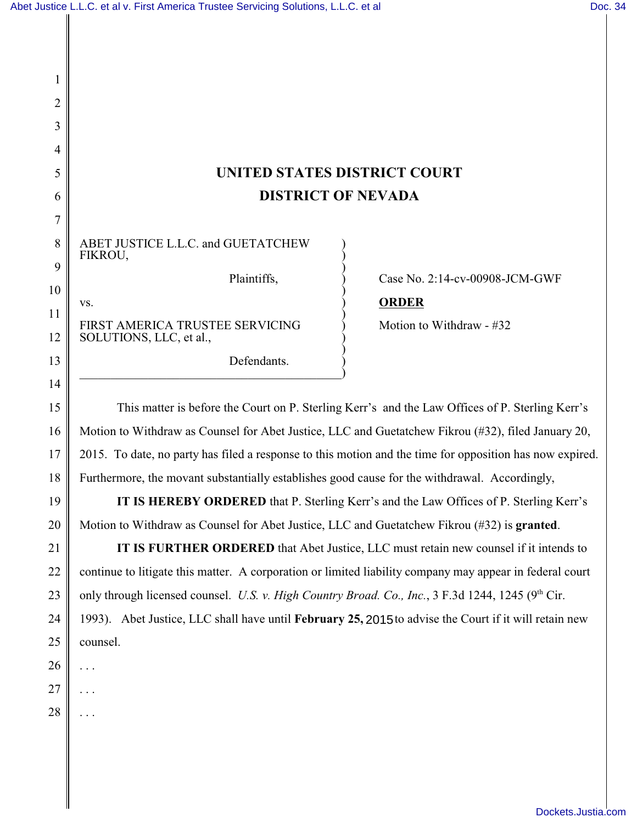| 2        |                                                                                                                                                                                                       |                                |
|----------|-------------------------------------------------------------------------------------------------------------------------------------------------------------------------------------------------------|--------------------------------|
| 3        |                                                                                                                                                                                                       |                                |
| 4        |                                                                                                                                                                                                       |                                |
| 5        | UNITED STATES DISTRICT COURT                                                                                                                                                                          |                                |
| 6        | <b>DISTRICT OF NEVADA</b>                                                                                                                                                                             |                                |
| 7        |                                                                                                                                                                                                       |                                |
| 8        | ABET JUSTICE L.L.C. and GUETATCHEW<br>FIKROU,                                                                                                                                                         |                                |
| 9        | Plaintiffs,                                                                                                                                                                                           | Case No. 2:14-cv-00908-JCM-GWF |
| 10       | VS.                                                                                                                                                                                                   | <b>ORDER</b>                   |
| 11       | FIRST AMERICA TRUSTEE SERVICING                                                                                                                                                                       | Motion to Withdraw - #32       |
| 12<br>13 | SOLUTIONS, LLC, et al.,<br>Defendants.                                                                                                                                                                |                                |
| 14       |                                                                                                                                                                                                       |                                |
| 15       |                                                                                                                                                                                                       |                                |
| 16       | This matter is before the Court on P. Sterling Kerr's and the Law Offices of P. Sterling Kerr's<br>Motion to Withdraw as Counsel for Abet Justice, LLC and Guetatchew Fikrou (#32), filed January 20, |                                |
| 17       | 2015. To date, no party has filed a response to this motion and the time for opposition has now expired.                                                                                              |                                |
| 18       | Furthermore, the movant substantially establishes good cause for the withdrawal. Accordingly,                                                                                                         |                                |
| 19       | IT IS HEREBY ORDERED that P. Sterling Kerr's and the Law Offices of P. Sterling Kerr's                                                                                                                |                                |
| 20       | Motion to Withdraw as Counsel for Abet Justice, LLC and Guetatchew Fikrou (#32) is granted.                                                                                                           |                                |
| 21       | IT IS FURTHER ORDERED that Abet Justice, LLC must retain new counsel if it intends to                                                                                                                 |                                |
| 22       | continue to litigate this matter. A corporation or limited liability company may appear in federal court                                                                                              |                                |
| 23       | only through licensed counsel. U.S. v. High Country Broad. Co., Inc., 3 F.3d 1244, 1245 (9th Cir.                                                                                                     |                                |
| 24       | 1993). Abet Justice, LLC shall have until February 25, 2015 to advise the Court if it will retain new                                                                                                 |                                |
| 25       | counsel.                                                                                                                                                                                              |                                |
| 26       |                                                                                                                                                                                                       |                                |
| 27       |                                                                                                                                                                                                       |                                |
| 28       |                                                                                                                                                                                                       |                                |
|          |                                                                                                                                                                                                       |                                |